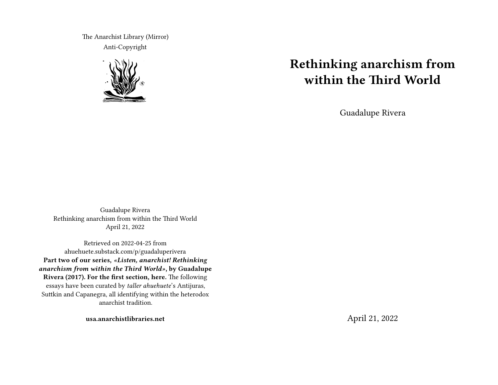The Anarchist Library (Mirror) Anti-Copyright



## **Rethinking anarchism from within the Third World**

Guadalupe Rivera

Guadalupe Rivera Rethinking anarchism from within the Third World April 21, 2022

Retrieved on 2022-04-25 from ahuehuete.substack.com/p/guadaluperivera **Part two of our series,** *«Listen, anarchist! Rethinking anarchism from within the Third World»***, by Guadalupe Rivera (2017). For the first section, here.** The following essays have been curated by *taller ahuehuete*'s Antijuras, Suttkin and Capanegra, all identifying within the heterodox anarchist tradition.

**usa.anarchistlibraries.net**

April 21, 2022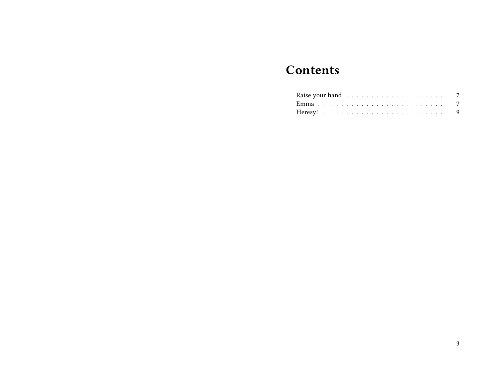# **Contents**

| Raise your hand $\ldots \ldots \ldots \ldots \ldots \ldots$ 7 |  |  |  |  |  |  |  |  |  |  |  |  |  |  |
|---------------------------------------------------------------|--|--|--|--|--|--|--|--|--|--|--|--|--|--|
|                                                               |  |  |  |  |  |  |  |  |  |  |  |  |  |  |
|                                                               |  |  |  |  |  |  |  |  |  |  |  |  |  |  |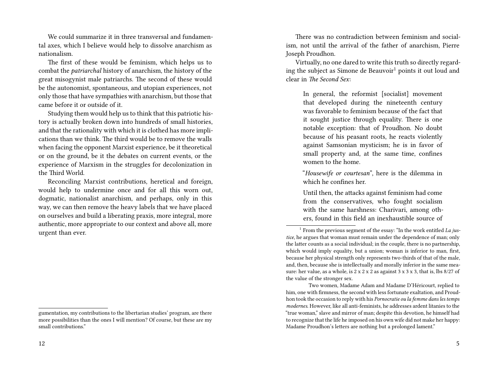We could summarize it in three transversal and fundamental axes, which I believe would help to dissolve anarchism as nationalism.

The first of these would be feminism, which helps us to combat the *patriarchal* history of anarchism, the history of the great misogynist male patriarchs. The second of these would be the autonomist, spontaneous, and utopian experiences, not only those that have sympathies with anarchism, but those that came before it or outside of it.

Studying them would help us to think that this patriotic history is actually broken down into hundreds of small histories, and that the rationality with which it is clothed has more implications than we think. The third would be to remove the walls when facing the opponent Marxist experience, be it theoretical or on the ground, be it the debates on current events, or the experience of Marxism in the struggles for decolonization in the Third World.

Reconciling Marxist contributions, heretical and foreign, would help to undermine once and for all this worn out, dogmatic, nationalist anarchism, and perhaps, only in this way, we can then remove the heavy labels that we have placed on ourselves and build a liberating praxis, more integral, more authentic, more appropriate to our context and above all, more urgent than ever.

There was no contradiction between feminism and socialism, not until the arrival of the father of anarchism, Pierre Joseph Proudhon.

Virtually, no one dared to write this truth so directly regarding the subject as Simone de Beauvoir<sup>1</sup> points it out loud and clear in *The Second Sex*:

In general, the reformist [socialist] movement that developed during the nineteenth century was favorable to feminism because of the fact that it sought justice through equality. There is one notable exception: that of Proudhon. No doubt because of his peasant roots, he reacts violently against Samsonian mysticism; he is in favor of small property and, at the same time, confines women to the home.

"*Housewife or courtesan*", here is the dilemma in which he confines her.

Until then, the attacks against feminism had come from the conservatives, who fought socialism with the same harshness: Charivari, among others, found in this field an inexhaustible source of

gumentation, my contributions to the libertarian studies' program, are there more possibilities than the ones I will mention? Of course, but these are my small contributions."

<sup>1</sup> From the previous segment of the essay: "In the work entitled *La justice*, he argues that woman must remain under the dependence of man; only the latter counts as a social individual; in the couple, there is no partnership, which would imply equality, but a union; woman is inferior to man, first, because her physical strength only represents two-thirds of that of the male, and, then, because she is intellectually and morally inferior in the same measure: her value, as a whole, is 2 x 2 x 2 as against 3 x 3 x 3, that is, lbs 8/27 of the value of the stronger sex.

Two women, Madame Adam and Madame D'Héricourt, replied to him, one with firmness, the second with less fortunate exaltation, and Proudhon took the occasion to reply with his *Pornocratie ou la femme dans les temps modernes.* However, like all anti-feminists, he addresses ardent litanies to the "true woman," slave and mirror of man; despite this devotion, he himself had to recognize that the life he imposed on his own wife did not make her happy: Madame Proudhon's letters are nothing but a prolonged lament."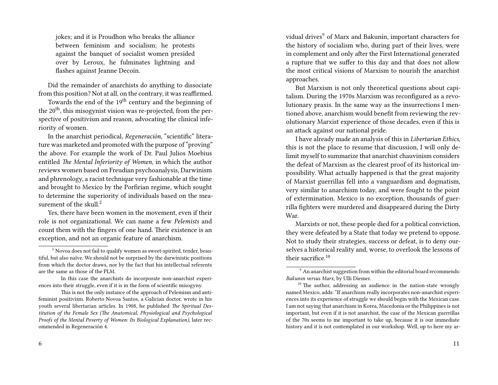jokes; and it is Proudhon who breaks the alliance between feminism and socialism; he protests against the banquet of socialist women presided over by Leroux, he fulminates lightning and flashes against Jeanne Decoin.

Did the remainder of anarchists do anything to dissociate from this position? Not at all, on the contrary, it was reaffirmed.

Towards the end of the 19<sup>th</sup> century and the beginning of the  $20<sup>th</sup>$ , this misogynist vision was re-projected, from the perspective of positivism and reason, advocating the clinical inferiority of women.

In the anarchist periodical, *Regeneración*, "scientific" literature was marketed and promoted with the purpose of "proving" the above. For example the work of Dr. Paul Julios Moebius entitled *The Mental Inferiority of Women*, in which the author reviews women based on Freudian psychoanalysis, Darwinism and phrenology, a racist technique very fashionable at the time and brought to Mexico by the Porfirian regime, which sought to determine the superiority of individuals based on the measurement of the skull. $2$ 

Yes, there have been women in the movement, even if their role is not organizational. We can name a few *Pelemists* and count them with the fingers of one hand. Their existence is an exception, and not an organic feature of anarchism.

6

vidual drives<sup>9</sup> of Marx and Bakunin, important characters for the history of socialism who, during part of their lives, were in complement and only after the First International generated a rupture that we suffer to this day and that does not allow the most critical visions of Marxism to nourish the anarchist approaches.

But Marxism is not only theoretical questions about capitalism. During the 1970s Marxism was reconfigured as a revolutionary praxis. In the same way as the insurrections I mentioned above, anarchism would benefit from reviewing the revolutionary Marxist experience of those decades, even if this is an attack against our national pride.

I have already made an analysis of this in *Libertarian Ethics*, this is not the place to resume that discussion, I will only delimit myself to summarize that anarchist chauvinism considers the defeat of Marxism as the clearest proof of its historical impossibility. What actually happened is that the great majority of Marxist guerrillas fell into a vanguardism and dogmatism, very similar to anarchism today, and were fought to the point of extermination. Mexico is no exception, thousands of guerrilla fighters were murdered and disappeared during the Dirty War.

Marxists or not, these people died for a political conviction, they were defeated by a State that today we pretend to oppose. Not to study their strategies, success or defeat, is to deny ourselves a historical reality and, worse, to overlook the lessons of their sacrifice.<sup>10</sup>

<sup>&</sup>lt;sup>2</sup> Novoa does not fail to qualify women as sweet-spirited, tender, beautiful, but also naïve. We should not be surprised by the darwinistic positions from which the doctor draws, nor by the fact that his intellectual referents are the same as those of the PLM.

In this case the anarchists do incorporate non-anarchist experiences into their struggle, even if it is in the form of scientific misogyny.

This is not the only instance of the approach of Pelemism and antifeminist positivism. Roberto Novoa Santos, a Galician doctor, wrote in his youth several libertarian articles. In 1908, he published *The Spiritual Destitution of the Female Sex (The Anatomical, Physiological and Psychological Proofs of the Mental Poverty of Women: Its Biological Explanation),* later recommended in Regeneración 4.

<sup>9</sup> An anarchist suggestion from within the editorial board recommends*: Bakunin versus Marx*, by Ulli Diemer.

 $10$  The author, addressing an audience in the nation-state wrongly named Mexico, adds: "If anarchism really incorporates non-anarchist experiences into its experience of struggle we should begin with the Mexican case. I am not saying that anarchism in Korea, Macedonia or the Philippines is not important, but even if it is not anarchist, the case of the Mexican guerrillas of the 70s seems to me important to take up, because it is our immediate history and it is not contemplated in our workshop. Well, up to here my ar-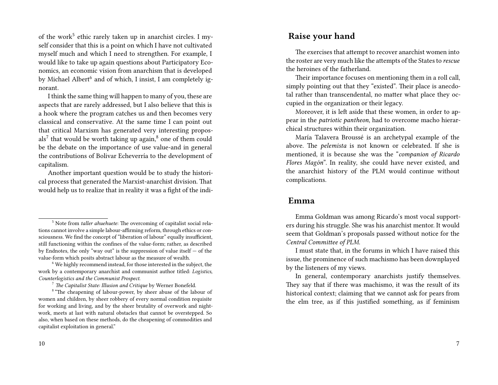of the work<sup>5</sup> ethic rarely taken up in anarchist circles. I myself consider that this is a point on which I have not cultivated myself much and which I need to strengthen. For example, I would like to take up again questions about Participatory Economics, an economic vision from anarchism that is developed by Michael Albert<sup>6</sup> and of which, I insist, I am completely ignorant.

I think the same thing will happen to many of you, these are aspects that are rarely addressed, but I also believe that this is a hook where the program catches us and then becomes very classical and conservative. At the same time I can point out that critical Marxism has generated very interesting propos $als<sup>7</sup>$  that would be worth taking up again, $8$  one of them could be the debate on the importance of use value-and in general the contributions of Bolivar Echeverría to the development of capitalism.

Another important question would be to study the historical process that generated the Marxist-anarchist division. That would help us to realize that in reality it was a fight of the indi-

#### **Raise your hand**

The exercises that attempt to recover anarchist women into the roster are very much like the attempts of the States to *rescue* the heroines of the fatherland.

Their importance focuses on mentioning them in a roll call, simply pointing out that they "existed". Their place is anecdotal rather than transcendental, no matter what place they occupied in the organization or their legacy.

Moreover, it is left aside that these women, in order to appear in the *patriotic pantheon*, had to overcome macho hierarchical structures within their organization.

María Talavera Broussé is an archetypal example of the above. The *pelemista* is not known or celebrated. If she is mentioned, it is because she was the "*companion of Ricardo Flores Magón*". In reality, she could have never existed, and the anarchist history of the PLM would continue without complications.

#### **Emma**

I must state that, in the forums in which I have raised this issue, the prominence of such machismo has been downplayed by the listeners of my views.

<sup>5</sup> Note from *taller ahuehuete*: The overcoming of capitalist social relations cannot involve a simple labour-affirming reform, through ethics or consciousness. We find the concept of "liberation of labour" equally insufficient, still functioning within the confines of the value-form; rather, as described by Endnotes, the only "way out" is the suppression of value itself  $-$  of the value-form which posits abstract labour as the measure of wealth.

<sup>6</sup> We highly recommend instead, for those interested in the subject, the work by a contemporary anarchist and communist author titled: *Logistics, Counterlogistics and the Communist Prospect*.

<sup>7</sup> *The Capitalist State: Illusion and Critique* by Werner Bonefeld.

<sup>&</sup>lt;sup>8</sup> "The cheapening of labour-power, by sheer abuse of the labour of women and children, by sheer robbery of every normal condition requisite for working and living, and by the sheer brutality of overwork and nightwork, meets at last with natural obstacles that cannot be overstepped. So also, when based on these methods, do the cheapening of commodities and capitalist exploitation in general."

Emma Goldman was among Ricardo's most vocal supporters during his struggle. She was his anarchist mentor. It would seem that Goldman's proposals passed without notice for the *Central Committee of PLM*.

In general, contemporary anarchists justify themselves. They say that if there was machismo, it was the result of its historical context; claiming that we cannot ask for pears from the elm tree, as if this justified something, as if feminism